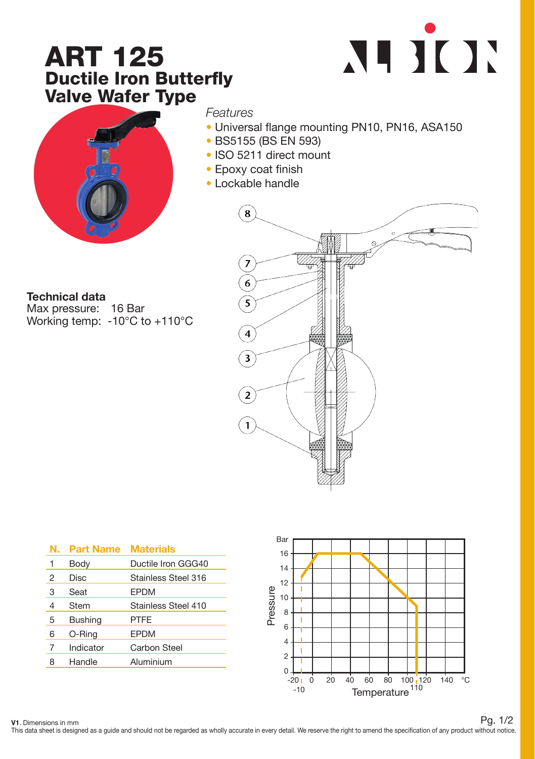## ART 125 Ductile Iron Butterfly Valve Wafer Type





*Features*

- Universal flange mounting PN10, PN16, ASA150
- BS5155 (BS EN 593)
- ISO 5211 direct mount
- Epoxy coat finish
- Lockable handle



Max pressure: 16 Bar Working temp: -10°C to +110°C



| Ν. | <b>Part Name</b> | <b>Materials</b>    |
|----|------------------|---------------------|
| 1  | Body             | Ductile Iron GGG40  |
| 2  | Disc             | Stainless Steel 316 |
| 3  | Seat             | <b>EPDM</b>         |
| 4  | Stem             | Stainless Steel 410 |
| 5  | <b>Bushing</b>   | PTFE                |
| 6  | O-Ring           | <b>EPDM</b>         |
| 7  | Indicator        | <b>Carbon Steel</b> |
| 8  | Handle           | Aluminium           |



V1. Dimensions in mm

This data sheet is designed as a quide and should not be regarded as wholly accurate in every detail. We reserve the right to amend the specification of any product without notice. Pg. 1/2